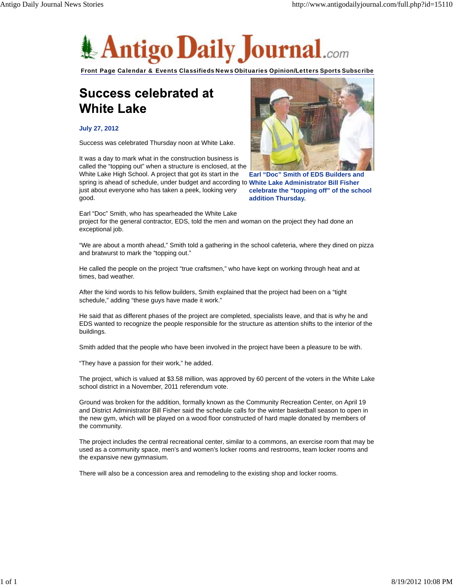

Front Page Calendar & Events Classifieds News Obituaries Opinion/Letters Sports Subscribe

## **Success celebrated at White Lake**

## **July 27, 2012**

Success was celebrated Thursday noon at White Lake.

spring is ahead of schedule, under budget and according to White Lake Administrator Bill Fisher It was a day to mark what in the construction business is called the "topping out" when a structure is enclosed, at the White Lake High School. A project that got its start in the just about everyone who has taken a peek, looking very good.



**Earl "Doc" Smith of EDS Builders and celebrate the "topping off" of the school addition Thursday.**

Earl "Doc" Smith, who has spearheaded the White Lake project for the general contractor, EDS, told the men and woman on the project they had done an exceptional job.

"We are about a month ahead," Smith told a gathering in the school cafeteria, where they dined on pizza and bratwurst to mark the "topping out."

He called the people on the project "true craftsmen," who have kept on working through heat and at times, bad weather.

After the kind words to his fellow builders, Smith explained that the project had been on a "tight schedule," adding "these guys have made it work."

He said that as different phases of the project are completed, specialists leave, and that is why he and EDS wanted to recognize the people responsible for the structure as attention shifts to the interior of the buildings.

Smith added that the people who have been involved in the project have been a pleasure to be with.

"They have a passion for their work," he added.

The project, which is valued at \$3.58 million, was approved by 60 percent of the voters in the White Lake school district in a November, 2011 referendum vote.

Ground was broken for the addition, formally known as the Community Recreation Center, on April 19 and District Administrator Bill Fisher said the schedule calls for the winter basketball season to open in the new gym, which will be played on a wood floor constructed of hard maple donated by members of the community.

The project includes the central recreational center, similar to a commons, an exercise room that may be used as a community space, men's and women's locker rooms and restrooms, team locker rooms and the expansive new gymnasium.

There will also be a concession area and remodeling to the existing shop and locker rooms.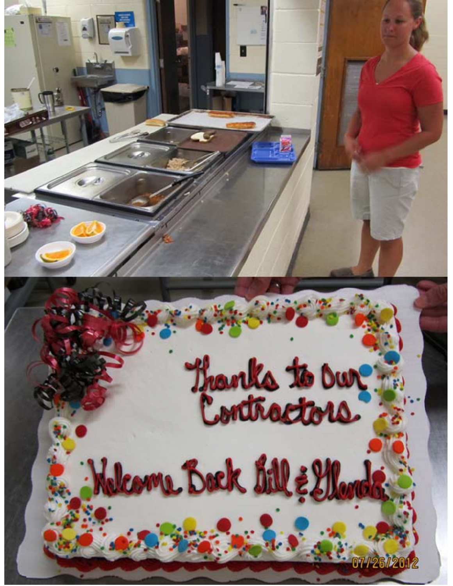